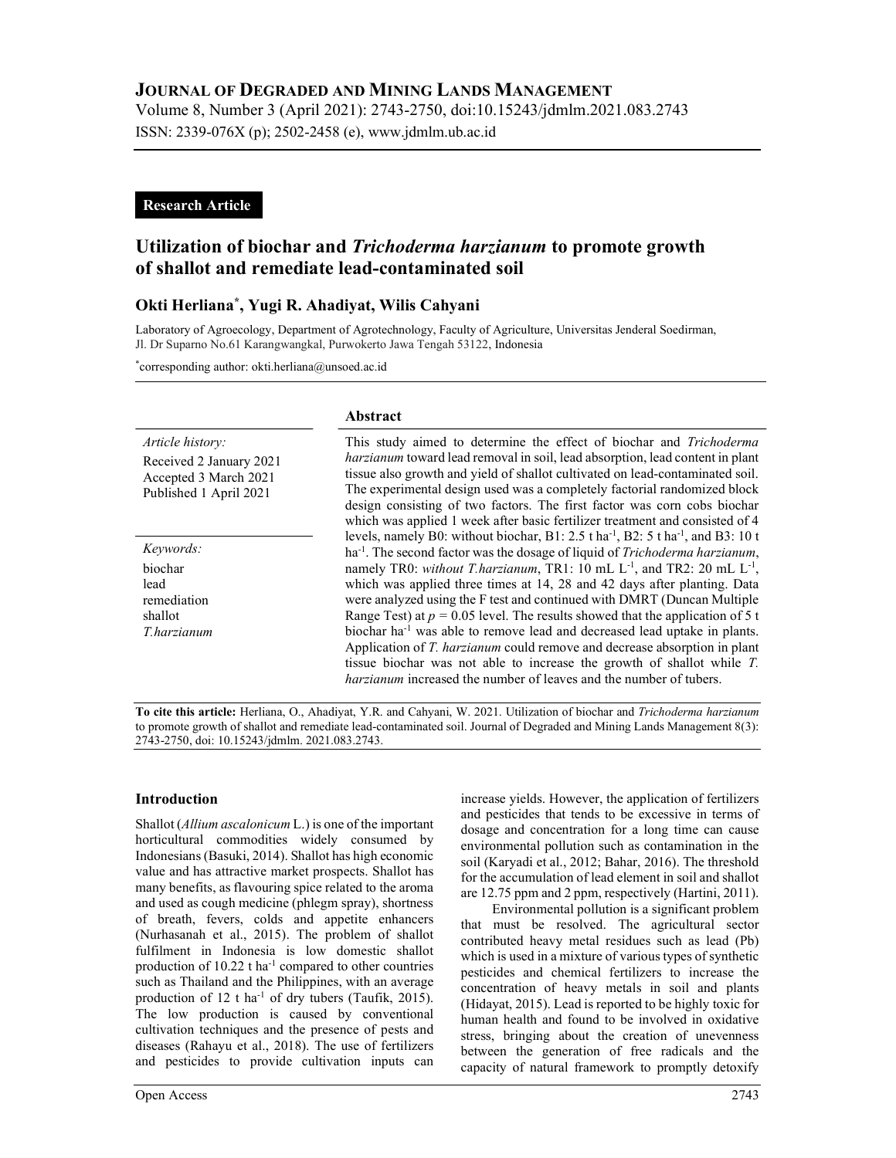## JOURNAL OF DEGRADED AND MINING LANDS MANAGEMENT

Volume 8, Number 3 (April 2021): 2743-2750, doi:10.15243/jdmlm.2021.083.2743 ISSN: 2339-076X (p); 2502-2458 (e), www.jdmlm.ub.ac.id

## Research Article

# Utilization of biochar and Trichoderma harzianum to promote growth of shallot and remediate lead-contaminated soil

## Okti Herliana\* , Yugi R. Ahadiyat, Wilis Cahyani

Laboratory of Agroecology, Department of Agrotechnology, Faculty of Agriculture, Universitas Jenderal Soedirman, Jl. Dr Suparno No.61 Karangwangkal, Purwokerto Jawa Tengah 53122, Indonesia

\*corresponding author: okti.herliana@unsoed.ac.id

|                                                                                                | Abstract                                                                                                                                                                                                                                                                                                                                                                                                                                                                                                                                                                                                                                                                                                                                                                                                |  |  |  |  |
|------------------------------------------------------------------------------------------------|---------------------------------------------------------------------------------------------------------------------------------------------------------------------------------------------------------------------------------------------------------------------------------------------------------------------------------------------------------------------------------------------------------------------------------------------------------------------------------------------------------------------------------------------------------------------------------------------------------------------------------------------------------------------------------------------------------------------------------------------------------------------------------------------------------|--|--|--|--|
| Article history:<br>Received 2 January 2021<br>Accepted 3 March 2021<br>Published 1 April 2021 | This study aimed to determine the effect of biochar and Trichoderma<br><i>harzianum</i> toward lead removal in soil, lead absorption, lead content in plant<br>tissue also growth and yield of shallot cultivated on lead-contaminated soil.<br>The experimental design used was a completely factorial randomized block<br>design consisting of two factors. The first factor was corn cobs biochar<br>which was applied 1 week after basic fertilizer treatment and consisted of 4                                                                                                                                                                                                                                                                                                                    |  |  |  |  |
| Keywords:<br>biochar<br>lead<br>remediation<br>shallot<br>T.harzianum                          | levels, namely B0: without biochar, B1: 2.5 t ha <sup>-1</sup> , B2: 5 t ha <sup>-1</sup> , and B3: 10 t<br>ha <sup>-1</sup> . The second factor was the dosage of liquid of <i>Trichoderma harzianum</i> ,<br>namely TR0: without T.harzianum, TR1: 10 mL L <sup>-1</sup> , and TR2: 20 mL L <sup>-1</sup> ,<br>which was applied three times at 14, 28 and 42 days after planting. Data<br>were analyzed using the F test and continued with DMRT (Duncan Multiple<br>Range Test) at $p = 0.05$ level. The results showed that the application of 5 t<br>biochar ha <sup>-1</sup> was able to remove lead and decreased lead uptake in plants.<br>Application of T. harzianum could remove and decrease absorption in plant<br>tissue biochar was not able to increase the growth of shallot while T. |  |  |  |  |
|                                                                                                | <i>harzianum</i> increased the number of leaves and the number of tubers.                                                                                                                                                                                                                                                                                                                                                                                                                                                                                                                                                                                                                                                                                                                               |  |  |  |  |

To cite this article: Herliana, O., Ahadiyat, Y.R. and Cahyani, W. 2021. Utilization of biochar and Trichoderma harzianum to promote growth of shallot and remediate lead-contaminated soil. Journal of Degraded and Mining Lands Management 8(3): 2743-2750, doi: 10.15243/jdmlm. 2021.083.2743.

## Introduction

Shallot (Allium ascalonicum L.) is one of the important horticultural commodities widely consumed by Indonesians (Basuki, 2014). Shallot has high economic value and has attractive market prospects. Shallot has many benefits, as flavouring spice related to the aroma and used as cough medicine (phlegm spray), shortness of breath, fevers, colds and appetite enhancers (Nurhasanah et al., 2015). The problem of shallot fulfilment in Indonesia is low domestic shallot production of  $10.22$  t ha<sup>-1</sup> compared to other countries such as Thailand and the Philippines, with an average production of 12 t ha<sup>-1</sup> of dry tubers (Taufik, 2015). The low production is caused by conventional cultivation techniques and the presence of pests and diseases (Rahayu et al., 2018). The use of fertilizers and pesticides to provide cultivation inputs can

increase yields. However, the application of fertilizers and pesticides that tends to be excessive in terms of dosage and concentration for a long time can cause environmental pollution such as contamination in the soil (Karyadi et al., 2012; Bahar, 2016). The threshold for the accumulation of lead element in soil and shallot are 12.75 ppm and 2 ppm, respectively (Hartini, 2011).

Environmental pollution is a significant problem that must be resolved. The agricultural sector contributed heavy metal residues such as lead (Pb) which is used in a mixture of various types of synthetic pesticides and chemical fertilizers to increase the concentration of heavy metals in soil and plants (Hidayat, 2015). Lead is reported to be highly toxic for human health and found to be involved in oxidative stress, bringing about the creation of unevenness between the generation of free radicals and the capacity of natural framework to promptly detoxify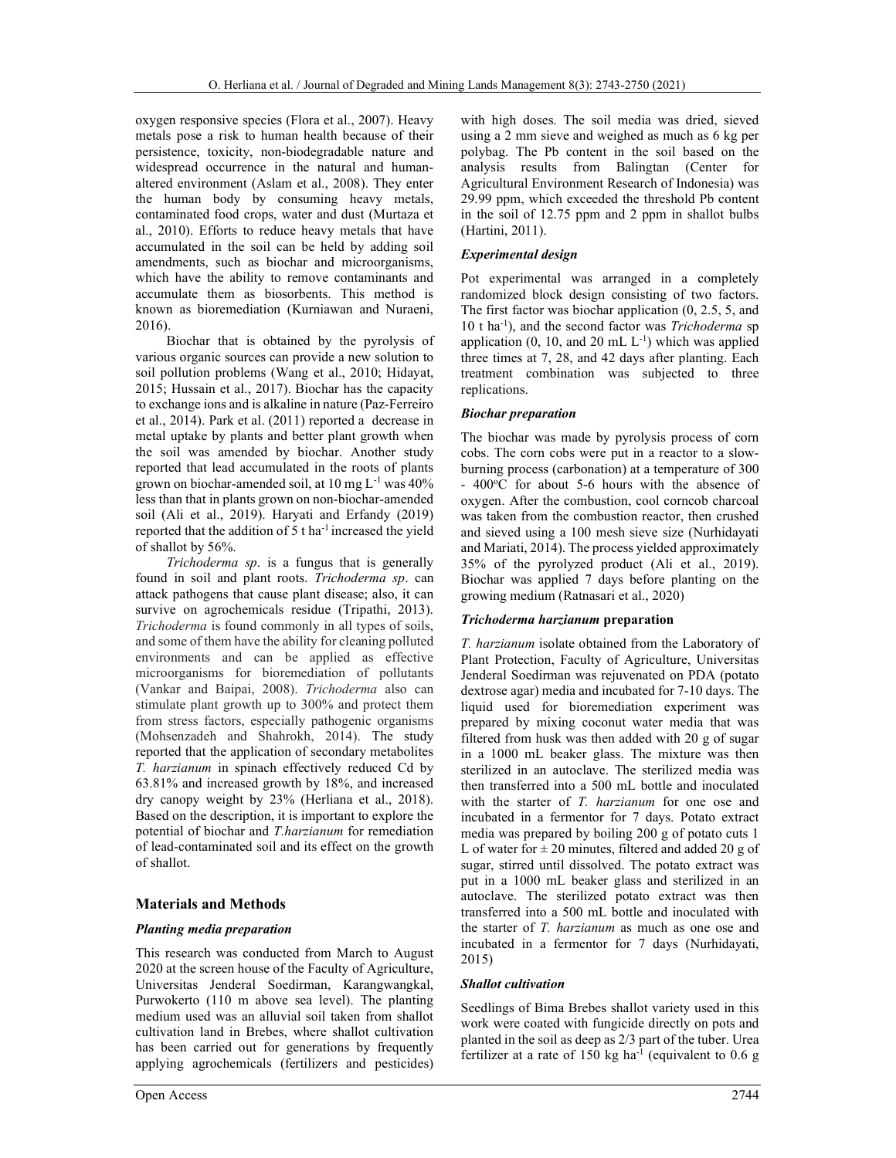oxygen responsive species (Flora et al., 2007). Heavy metals pose a risk to human health because of their persistence, toxicity, non-biodegradable nature and widespread occurrence in the natural and humanaltered environment (Aslam et al., 2008). They enter the human body by consuming heavy metals, contaminated food crops, water and dust (Murtaza et al., 2010). Efforts to reduce heavy metals that have accumulated in the soil can be held by adding soil amendments, such as biochar and microorganisms, which have the ability to remove contaminants and accumulate them as biosorbents. This method is known as bioremediation (Kurniawan and Nuraeni, 2016).

Biochar that is obtained by the pyrolysis of various organic sources can provide a new solution to soil pollution problems (Wang et al., 2010; Hidayat, 2015; Hussain et al., 2017). Biochar has the capacity to exchange ions and is alkaline in nature (Paz-Ferreiro et al., 2014). Park et al. (2011) reported a decrease in metal uptake by plants and better plant growth when the soil was amended by biochar. Another study reported that lead accumulated in the roots of plants grown on biochar-amended soil, at  $10 \text{ mg } L^{-1}$  was  $40\%$ less than that in plants grown on non-biochar-amended soil (Ali et al., 2019). Haryati and Erfandy (2019) reported that the addition of 5 t ha<sup>-1</sup> increased the yield of shallot by 56%.

Trichoderma sp. is a fungus that is generally found in soil and plant roots. Trichoderma sp. can attack pathogens that cause plant disease; also, it can survive on agrochemicals residue (Tripathi, 2013). Trichoderma is found commonly in all types of soils, and some of them have the ability for cleaning polluted environments and can be applied as effective microorganisms for bioremediation of pollutants (Vankar and Baipai, 2008). Trichoderma also can stimulate plant growth up to 300% and protect them from stress factors, especially pathogenic organisms (Mohsenzadeh and Shahrokh, 2014). The study reported that the application of secondary metabolites T. harzianum in spinach effectively reduced Cd by 63.81% and increased growth by 18%, and increased dry canopy weight by 23% (Herliana et al., 2018). Based on the description, it is important to explore the potential of biochar and T.harzianum for remediation of lead-contaminated soil and its effect on the growth of shallot.

## Materials and Methods

#### Planting media preparation

This research was conducted from March to August 2020 at the screen house of the Faculty of Agriculture, Universitas Jenderal Soedirman, Karangwangkal, Purwokerto (110 m above sea level). The planting medium used was an alluvial soil taken from shallot cultivation land in Brebes, where shallot cultivation has been carried out for generations by frequently applying agrochemicals (fertilizers and pesticides) with high doses. The soil media was dried, sieved using a 2 mm sieve and weighed as much as 6 kg per polybag. The Pb content in the soil based on the analysis results from Balingtan (Center for Agricultural Environment Research of Indonesia) was 29.99 ppm, which exceeded the threshold Pb content in the soil of 12.75 ppm and 2 ppm in shallot bulbs (Hartini, 2011).

#### Experimental design

Pot experimental was arranged in a completely randomized block design consisting of two factors. The first factor was biochar application (0, 2.5, 5, and  $10$  t ha<sup>-1</sup>), and the second factor was *Trichoderma* sp application  $(0, 10, \text{ and } 20 \text{ mL L}^{-1})$  which was applied three times at 7, 28, and 42 days after planting. Each treatment combination was subjected to three replications.

#### Biochar preparation

The biochar was made by pyrolysis process of corn cobs. The corn cobs were put in a reactor to a slowburning process (carbonation) at a temperature of 300  $-400^{\circ}$ C for about 5-6 hours with the absence of oxygen. After the combustion, cool corncob charcoal was taken from the combustion reactor, then crushed and sieved using a 100 mesh sieve size (Nurhidayati and Mariati, 2014). The process yielded approximately 35% of the pyrolyzed product (Ali et al., 2019). Biochar was applied 7 days before planting on the growing medium (Ratnasari et al., 2020)

#### Trichoderma harzianum preparation

T. harzianum isolate obtained from the Laboratory of Plant Protection, Faculty of Agriculture, Universitas Jenderal Soedirman was rejuvenated on PDA (potato dextrose agar) media and incubated for 7-10 days. The liquid used for bioremediation experiment was prepared by mixing coconut water media that was filtered from husk was then added with 20 g of sugar in a 1000 mL beaker glass. The mixture was then sterilized in an autoclave. The sterilized media was then transferred into a 500 mL bottle and inoculated with the starter of T. harzianum for one ose and incubated in a fermentor for 7 days. Potato extract media was prepared by boiling 200 g of potato cuts 1 L of water for  $\pm 20$  minutes, filtered and added 20 g of sugar, stirred until dissolved. The potato extract was put in a 1000 mL beaker glass and sterilized in an autoclave. The sterilized potato extract was then transferred into a 500 mL bottle and inoculated with the starter of T. harzianum as much as one ose and incubated in a fermentor for 7 days (Nurhidayati, 2015)

#### Shallot cultivation

Seedlings of Bima Brebes shallot variety used in this work were coated with fungicide directly on pots and planted in the soil as deep as 2/3 part of the tuber. Urea fertilizer at a rate of 150 kg ha<sup>-1</sup> (equivalent to 0.6 g)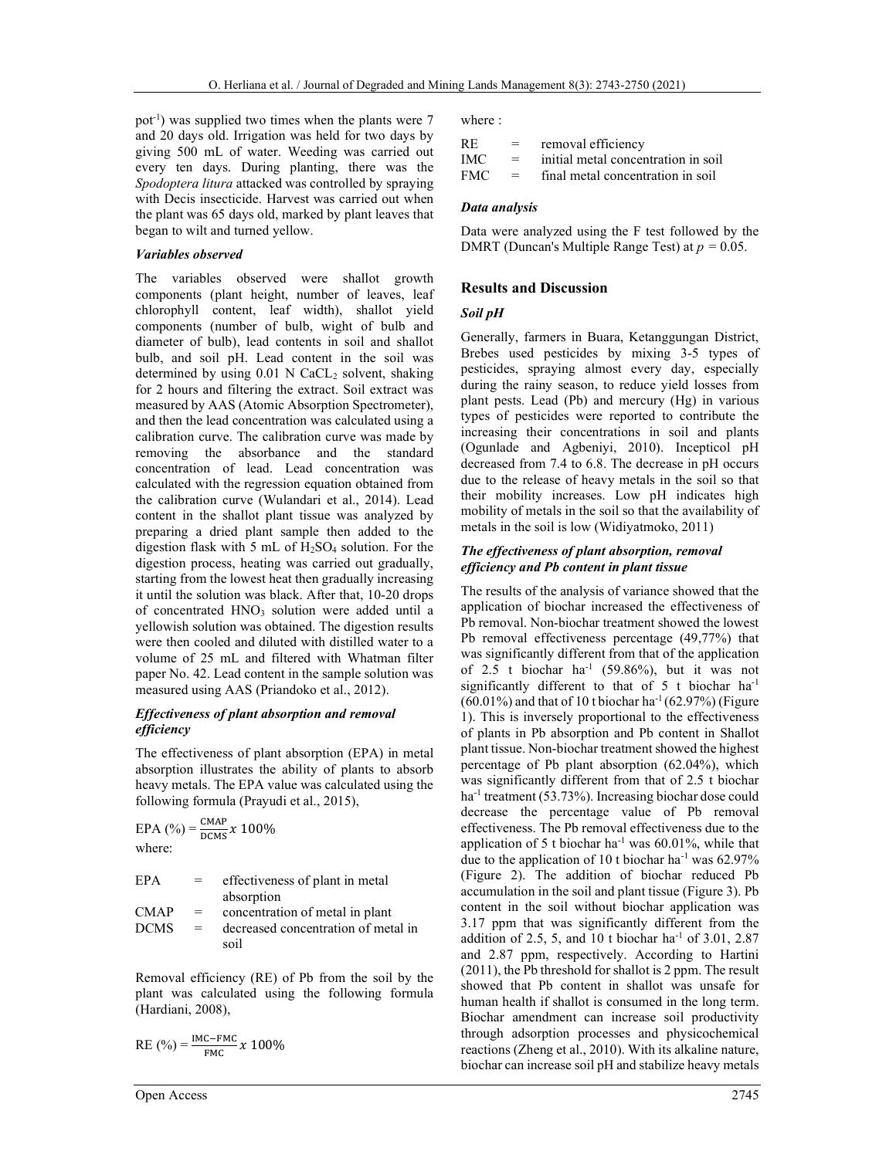pot<sup>-1</sup>) was supplied two times when the plants were  $7$ and 20 days old. Irrigation was held for two days by giving 500 mL of water. Weeding was carried out every ten days. During planting, there was the Spodoptera litura attacked was controlled by spraying with Decis insecticide. Harvest was carried out when the plant was 65 days old, marked by plant leaves that began to wilt and turned yellow.

#### Variables observed

The variables observed were shallot growth components (plant height, number of leaves, leaf chlorophyll content, leaf width), shallot yield components (number of bulb, wight of bulb and diameter of bulb), lead contents in soil and shallot bulb, and soil pH. Lead content in the soil was determined by using  $0.01$  N CaCL<sub>2</sub> solvent, shaking for 2 hours and filtering the extract. Soil extract was measured by AAS (Atomic Absorption Spectrometer), and then the lead concentration was calculated using a calibration curve. The calibration curve was made by removing the absorbance and the standard concentration of lead. Lead concentration was calculated with the regression equation obtained from the calibration curve (Wulandari et al., 2014). Lead content in the shallot plant tissue was analyzed by preparing a dried plant sample then added to the digestion flask with 5 mL of  $H_2SO_4$  solution. For the digestion process, heating was carried out gradually, starting from the lowest heat then gradually increasing it until the solution was black. After that, 10-20 drops of concentrated HNO<sub>3</sub> solution were added until a yellowish solution was obtained. The digestion results were then cooled and diluted with distilled water to a volume of 25 mL and filtered with Whatman filter paper No. 42. Lead content in the sample solution was measured using AAS (Priandoko et al., 2012).

#### Effectiveness of plant absorption and removal efficiency

The effectiveness of plant absorption (EPA) in metal absorption illustrates the ability of plants to absorb heavy metals. The EPA value was calculated using the following formula (Prayudi et al., 2015),

$$
EPA (%) = \frac{CMAP}{DCMS} x 100\%
$$
  
where:  

$$
EPA = \text{effectiveness of plant in metalabsorption}
$$
  

$$
CMAP = \text{concentration of metal in plant}
$$
  
DCMS = decreased concentration of met

DCMS = decreased concentration of metal in soil

Removal efficiency (RE) of Pb from the soil by the plant was calculated using the following formula (Hardiani, 2008),

RE 
$$
(\%) = \frac{\text{IMC} - \text{FMC}}{\text{FMC}} x 100\%
$$

where :

| <b>RE</b>  | $=$      | removal efficiency                  |
|------------|----------|-------------------------------------|
| <b>IMC</b> | $\equiv$ | initial metal concentration in soil |
| <b>FMC</b> | $=$ $-$  | final metal concentration in soil   |

#### Data analysis

Data were analyzed using the F test followed by the DMRT (Duncan's Multiple Range Test) at  $p = 0.05$ .

#### Results and Discussion

#### Soil pH

Generally, farmers in Buara, Ketanggungan District, Brebes used pesticides by mixing 3-5 types of pesticides, spraying almost every day, especially during the rainy season, to reduce yield losses from plant pests. Lead (Pb) and mercury (Hg) in various types of pesticides were reported to contribute the increasing their concentrations in soil and plants (Ogunlade and Agbeniyi, 2010). Incepticol pH decreased from 7.4 to 6.8. The decrease in pH occurs due to the release of heavy metals in the soil so that their mobility increases. Low pH indicates high mobility of metals in the soil so that the availability of metals in the soil is low (Widiyatmoko, 2011)

#### The effectiveness of plant absorption, removal efficiency and Pb content in plant tissue

The results of the analysis of variance showed that the application of biochar increased the effectiveness of Pb removal. Non-biochar treatment showed the lowest Pb removal effectiveness percentage (49,77%) that was significantly different from that of the application of 2.5 t biochar ha<sup>-1</sup> (59.86%), but it was not significantly different to that of  $5$  t biochar ha<sup>-1</sup>  $(60.01\%)$  and that of 10 t biochar ha<sup>-1</sup> (62.97%) (Figure 1). This is inversely proportional to the effectiveness of plants in Pb absorption and Pb content in Shallot plant tissue. Non-biochar treatment showed the highest percentage of Pb plant absorption (62.04%), which was significantly different from that of 2.5 t biochar ha<sup>-1</sup> treatment (53.73%). Increasing biochar dose could decrease the percentage value of Pb removal effectiveness. The Pb removal effectiveness due to the application of 5 t biochar ha<sup>-1</sup> was  $60.01\%$ , while that due to the application of 10 t biochar ha<sup>-1</sup> was  $62.97\%$ (Figure 2). The addition of biochar reduced Pb accumulation in the soil and plant tissue (Figure 3). Pb content in the soil without biochar application was 3.17 ppm that was significantly different from the addition of 2.5, 5, and 10 t biochar ha<sup>-1</sup> of 3.01, 2.87 and 2.87 ppm, respectively. According to Hartini (2011), the Pb threshold for shallot is 2 ppm. The result showed that Pb content in shallot was unsafe for human health if shallot is consumed in the long term. Biochar amendment can increase soil productivity through adsorption processes and physicochemical reactions (Zheng et al., 2010). With its alkaline nature, biochar can increase soil pH and stabilize heavy metals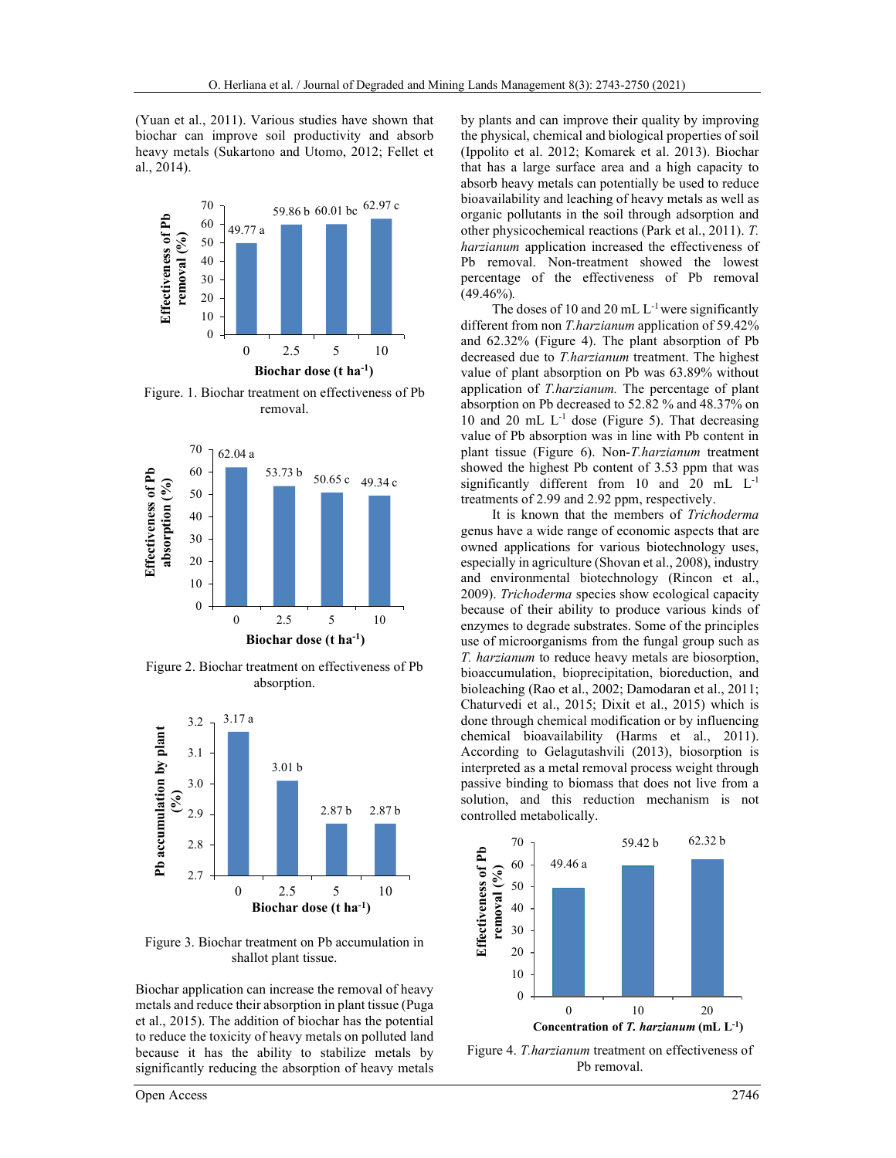(Yuan et al., 2011). Various studies have shown that biochar can improve soil productivity and absorb heavy metals (Sukartono and Utomo, 2012; Fellet et al., 2014).



Figure. 1. Biochar treatment on effectiveness of Pb removal.



Figure 2. Biochar treatment on effectiveness of Pb absorption.



Figure 3. Biochar treatment on Pb accumulation in shallot plant tissue.

Biochar application can increase the removal of heavy metals and reduce their absorption in plant tissue (Puga et al., 2015). The addition of biochar has the potential to reduce the toxicity of heavy metals on polluted land because it has the ability to stabilize metals by significantly reducing the absorption of heavy metals

by plants and can improve their quality by improving the physical, chemical and biological properties of soil (Ippolito et al. 2012; Komarek et al. 2013). Biochar that has a large surface area and a high capacity to absorb heavy metals can potentially be used to reduce bioavailability and leaching of heavy metals as well as organic pollutants in the soil through adsorption and other physicochemical reactions (Park et al., 2011). T. harzianum application increased the effectiveness of Pb removal. Non-treatment showed the lowest percentage of the effectiveness of Pb removal  $(49.46\%)$ . Ferliana et al. / Journal of Degraded and Mining Lands Management 8(3): 2743-2750 (2021)<br>
1). Various studies have shown that<br>
by plants and can improve their quality by improve<br>
prove soil productivity and absorb<br>
the ph 1. Journal of Degraded and Mining Lands Management 8(3): 2743-2750 (2021)<br>
ious studies have shown that<br>
by plants and can improve their quality by improving<br>
oil productivity and absorb the physical, chemical and biologi 0. Herlinna et al. *1* Journal of Degraded and Mining Lands Management 8(3): 2743-2750 (2021)<br>
ne at al., 2011). Various studies have shown that by phants and can improve their quality by improving<br>
hare can minyove soil

The doses of 10 and 20 mL  $L^{-1}$  were significantly different from non T.harzianum application of 59.42% and 62.32% (Figure 4). The plant absorption of Pb decreased due to T.harzianum treatment. The highest value of plant absorption on Pb was 63.89% without application of T.harzianum. The percentage of plant absorption on Pb decreased to 52.82 % and 48.37% on 10 and 20 mL  $L^{-1}$  dose (Figure 5). That decreasing value of Pb absorption was in line with Pb content in plant tissue (Figure 6). Non-T.harzianum treatment showed the highest Pb content of 3.53 ppm that was significantly different from 10 and 20 mL L-1 treatments of 2.99 and 2.92 ppm, respectively. Herilana et al. / Journal of Degraded and Mining Lands Management 8(3): 2743-2750 (2021)<br>
011). Various studies have shown that by plants and can improve their quality by improve soil productivity and absorb the physical, and 62.32% (Figure 4). The plant solid and an improve their quality by improving<br>soil productivity and absorb the physical, chemical and biological properties of soil<br>on and Utomo, 2012; Fellet et (phpilio et al. 2012; Ko

It is known that the members of Trichoderma genus have a wide range of economic aspects that are owned applications for various biotechnology uses, especially in agriculture (Shovan et al., 2008), industry and environmental biotechnology (Rincon et al., 2009). Trichoderma species show ecological capacity because of their ability to produce various kinds of enzymes to degrade substrates. Some of the principles use of microorganisms from the fungal group such as T. harzianum to reduce heavy metals are biosorption, bioaccumulation, bioprecipitation, bioreduction, and bioleaching (Rao et al., 2002; Damodaran et al., 2011; Chaturvedi et al., 2015; Dixit et al., 2015) which is done through chemical modification or by influencing chemical bioavailability (Harms et al., 2011). According to Gelagutashvili (2013), biosorption is interpreted as a metal removal process weight through passive binding to biomass that does not live from a solution, and this reduction mechanism is not controlled metabolically. **Example 19**<br> **Example 10**<br> **Example 10**<br> **Example 10**<br> **Example 10**<br> **Example 10**<br> **Example 10**<br> **Example 10**<br> **Example 10**<br> **Example 10**<br> **Example 10**<br> **Example 10**<br> **Example 10**<br> **Example 10**<br> **Example 10**<br> **Example 10** 0 2.5 5 10 and 62.32% (Figure 4). The plant absorption<br>
Biochar dose (t har<sup>1</sup>) value of plant absorption<br>
2.6 and the correction of *Tharzianum* treatment. The h<br>
20 mL L<sup>-1</sup> dose (Figure 5). That decreased the set also<br> ment on effectiveness of Pb<br>
absorption on *Phacerassed* to 52.82 % and 48.37% on<br>
moval. If the precentage of plant<br>
absorption on *Ph* decreased to 52.82 % and 48.37% on<br>
10 and 20 mL L<sup>1</sup> dose (Figure 6). Non-*T.harzia* value of Ph absorption was in line with Pb constrain<br>
plant tissue (Figure 6). Non-*Tharstanum* treatment<br>
showed the highest Pb content of 3.53 ppm that was<br>
significantly different from 10 and 20 mL L<sup>1</sup><br>
treatments of **Example 1** 11 is known that the members of *Prichoderma*<br> **Example 12.5** 30<br> **Example 12.5** 30<br> **Example 12.5** 30<br> **Example 12.5** 10<br> **Example 12.6** 2009). *Trichoderma* species show ecological capacity<br> **Example 2. Bioc** Terent Trom 10 and 20 m.<br>
10 and 2.92 ppm, respectively.<br>
The mand 20 mL L<sup>2</sup> mm and 20 mL L<sup>2</sup><br>
The members of *Trichoderma*<br>
de range of economic aspects that are<br>
cons for various biotechnology uses,<br>
siculture (Shovan into f 3.53 ppm that was<br>
1 10 and 20 mL L<sup>-1</sup><br>
pm, respectively.<br>
enembers of *Tichoderma*<br>
economic aspects that are<br>
comomic aspects that are<br>
ous biotechnology uses,<br>
syan et al., 2008), industry<br>
involve cological ca



Figure 4. T.harzianum treatment on effectiveness of Pb removal.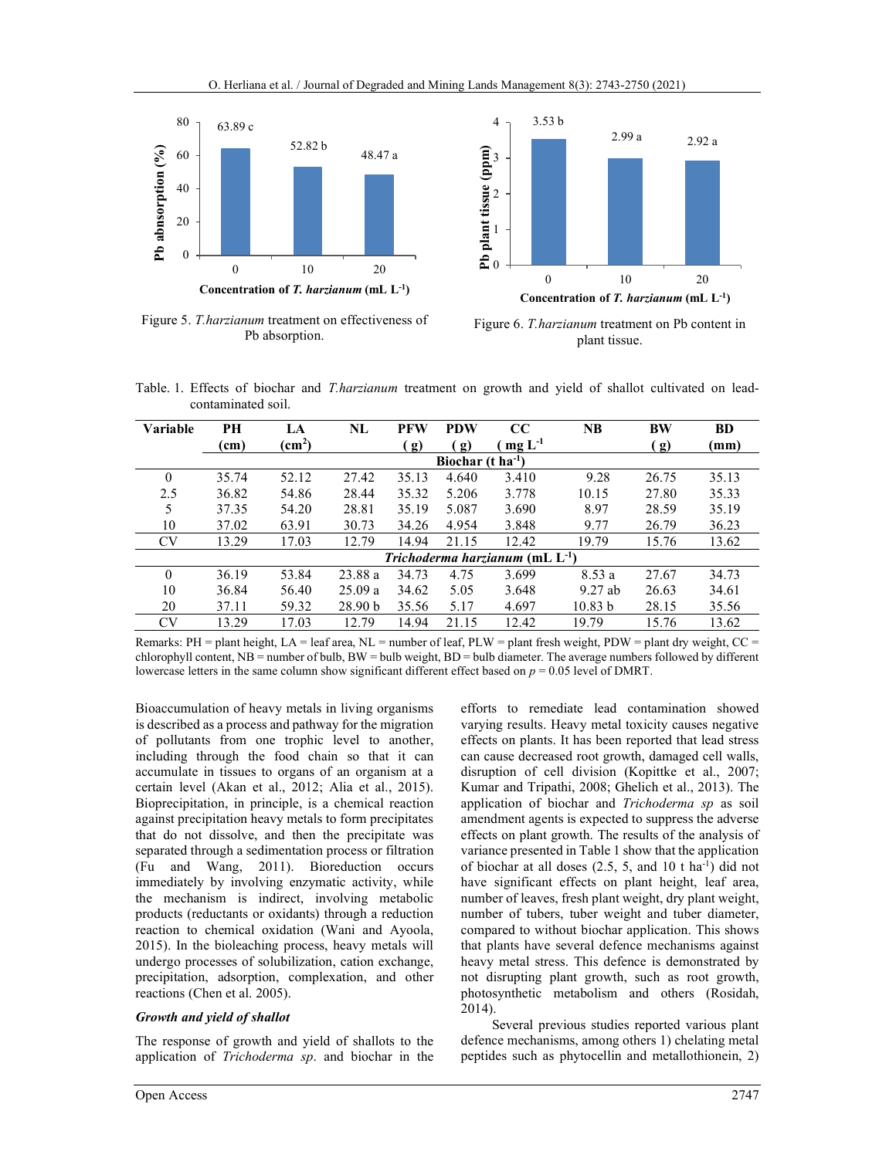

Figure 5. T.harzianum treatment on effectiveness of Pb absorption.



Figure 6. T.harzianum treatment on Pb content in plant tissue.

Table. 1. Effects of biochar and *T.harzianum* treatment on growth and yield of shallot cultivated on leadcontaminated soil.

| Variable                             | PH                            | LA              | NL                 | <b>PFW</b>                   | <b>PDW</b> | $\bf CC$   | <b>NB</b> | <b>BW</b>                   | <b>BD</b> |  |  |  |  |
|--------------------------------------|-------------------------------|-----------------|--------------------|------------------------------|------------|------------|-----------|-----------------------------|-----------|--|--|--|--|
|                                      | (cm)                          | $\text{(cm}^2)$ |                    | $\left( \frac{g}{g} \right)$ | g)         | $mgL^{-1}$ |           | $\left( \mathbf{g} \right)$ | (mm)      |  |  |  |  |
|                                      | Biochar $(t \text{ ha}^{-1})$ |                 |                    |                              |            |            |           |                             |           |  |  |  |  |
| 0                                    | 35.74                         | 52.12           | 27.42              | 35.13                        | 4.640      | 3.410      | 9.28      | 26.75                       | 35.13     |  |  |  |  |
| 2.5                                  | 36.82                         | 54.86           | 28.44              | 35.32                        | 5.206      | 3.778      | 10.15     | 27.80                       | 35.33     |  |  |  |  |
| 5                                    | 37.35                         | 54.20           | 28.81              | 35.19                        | 5.087      | 3.690      | 8.97      | 28.59                       | 35.19     |  |  |  |  |
| 10                                   | 37.02                         | 63.91           | 30.73              | 34.26                        | 4.954      | 3.848      | 9.77      | 26.79                       | 36.23     |  |  |  |  |
| <b>CV</b>                            | 13.29                         | 17.03           | 12.79              | 14.94                        | 21.15      | 12.42      | 19.79     | 15.76                       | 13.62     |  |  |  |  |
| Trichoderma harzianum (mL $L^{-1}$ ) |                               |                 |                    |                              |            |            |           |                             |           |  |  |  |  |
| 0                                    | 36.19                         | 53.84           | 23.88 a            | 34.73                        | 4.75       | 3.699      | 8.53a     | 27.67                       | 34.73     |  |  |  |  |
| 10                                   | 36.84                         | 56.40           | 25.09a             | 34.62                        | 5.05       | 3.648      | $9.27$ ab | 26.63                       | 34.61     |  |  |  |  |
| 20                                   | 37.11                         | 59.32           | 28.90 <sub>b</sub> | 35.56                        | 5.17       | 4.697      | 10.83 b   | 28.15                       | 35.56     |  |  |  |  |
| <b>CV</b>                            | 13.29                         | 17.03           | 12.79              | 14.94                        | 21.15      | 12.42      | 19.79     | 15.76                       | 13.62     |  |  |  |  |

Remarks: PH = plant height, LA = leaf area, NL = number of leaf, PLW = plant fresh weight, PDW = plant dry weight, CC = chlorophyll content, NB = number of bulb, BW = bulb weight, BD = bulb diameter. The average numbers followed by different lowercase letters in the same column show significant different effect based on  $p = 0.05$  level of DMRT.

Bioaccumulation of heavy metals in living organisms is described as a process and pathway for the migration of pollutants from one trophic level to another, including through the food chain so that it can accumulate in tissues to organs of an organism at a certain level (Akan et al., 2012; Alia et al., 2015). Bioprecipitation, in principle, is a chemical reaction against precipitation heavy metals to form precipitates that do not dissolve, and then the precipitate was separated through a sedimentation process or filtration (Fu and Wang, 2011). Bioreduction occurs immediately by involving enzymatic activity, while the mechanism is indirect, involving metabolic products (reductants or oxidants) through a reduction reaction to chemical oxidation (Wani and Ayoola, 2015). In the bioleaching process, heavy metals will undergo processes of solubilization, cation exchange, precipitation, adsorption, complexation, and other reactions (Chen et al. 2005).

#### Growth and yield of shallot

The response of growth and yield of shallots to the application of Trichoderma sp. and biochar in the efforts to remediate lead contamination showed varying results. Heavy metal toxicity causes negative effects on plants. It has been reported that lead stress can cause decreased root growth, damaged cell walls, disruption of cell division (Kopittke et al., 2007; Kumar and Tripathi, 2008; Ghelich et al., 2013). The application of biochar and Trichoderma sp as soil amendment agents is expected to suppress the adverse effects on plant growth. The results of the analysis of variance presented in Table 1 show that the application of biochar at all doses  $(2.5, 5, \text{ and } 10 \text{ t ha}^{-1})$  did not have significant effects on plant height, leaf area, number of leaves, fresh plant weight, dry plant weight, number of tubers, tuber weight and tuber diameter, compared to without biochar application. This shows that plants have several defence mechanisms against heavy metal stress. This defence is demonstrated by not disrupting plant growth, such as root growth, photosynthetic metabolism and others (Rosidah, 2014).

Several previous studies reported various plant defence mechanisms, among others 1) chelating metal peptides such as phytocellin and metallothionein, 2)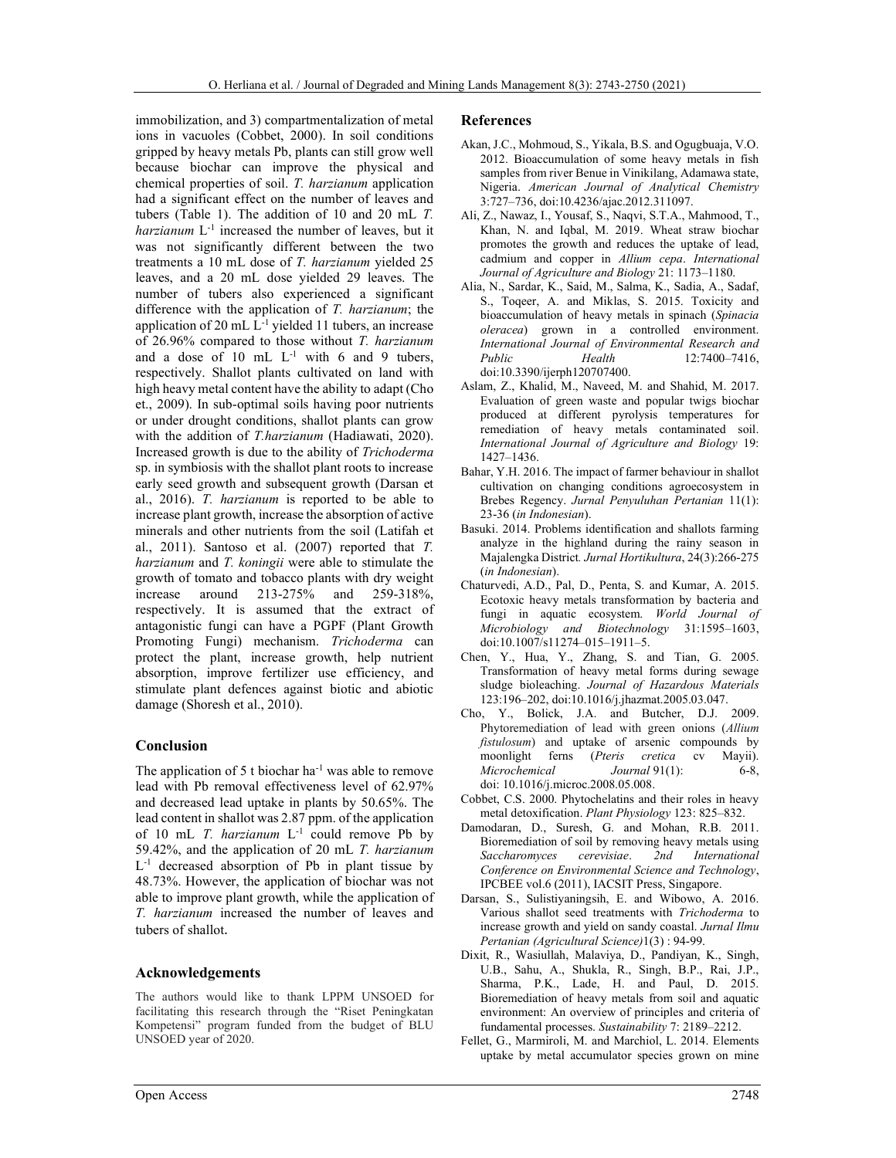immobilization, and 3) compartmentalization of metal ions in vacuoles (Cobbet, 2000). In soil conditions gripped by heavy metals Pb, plants can still grow well because biochar can improve the physical and chemical properties of soil. T. harzianum application had a significant effect on the number of leaves and tubers (Table 1). The addition of 10 and 20 mL T. harzianum  $L^{-1}$  increased the number of leaves, but it was not significantly different between the two treatments a 10 mL dose of T. harzianum yielded 25 leaves, and a 20 mL dose yielded 29 leaves. The number of tubers also experienced a significant difference with the application of T. harzianum; the application of 20 mL L-1 yielded 11 tubers, an increase of 26.96% compared to those without T. harzianum and a dose of  $10$  mL  $L^{-1}$  with 6 and 9 tubers, respectively. Shallot plants cultivated on land with high heavy metal content have the ability to adapt (Cho et., 2009). In sub-optimal soils having poor nutrients or under drought conditions, shallot plants can grow with the addition of T.harzianum (Hadiawati, 2020). Increased growth is due to the ability of Trichoderma sp. in symbiosis with the shallot plant roots to increase early seed growth and subsequent growth (Darsan et al., 2016). T. harzianum is reported to be able to increase plant growth, increase the absorption of active minerals and other nutrients from the soil (Latifah et al., 2011). Santoso et al. (2007) reported that T. harzianum and T. koningii were able to stimulate the growth of tomato and tobacco plants with dry weight increase around 213-275% and 259-318%, respectively. It is assumed that the extract of antagonistic fungi can have a PGPF (Plant Growth Promoting Fungi) mechanism. Trichoderma can protect the plant, increase growth, help nutrient absorption, improve fertilizer use efficiency, and stimulate plant defences against biotic and abiotic damage (Shoresh et al., 2010).

## Conclusion

The application of 5 t biochar  $ha^{-1}$  was able to remove lead with Pb removal effectiveness level of 62.97% and decreased lead uptake in plants by 50.65%. The lead content in shallot was 2.87 ppm. of the application of 10 mL T. harzianum L<sup>-1</sup> could remove Pb by 59.42%, and the application of 20 mL  $T$ . harzianum L<sup>-1</sup> decreased absorption of Pb in plant tissue by 48.73%. However, the application of biochar was not able to improve plant growth, while the application of T. harzianum increased the number of leaves and tubers of shallot.

## Acknowledgements

The authors would like to thank LPPM UNSOED for facilitating this research through the "Riset Peningkatan Kompetensi" program funded from the budget of BLU UNSOED year of 2020.

#### References

- Akan, J.C., Mohmoud, S., Yikala, B.S. and Ogugbuaja, V.O. 2012. Bioaccumulation of some heavy metals in fish samples from river Benue in Vinikilang, Adamawa state, Nigeria. American Journal of Analytical Chemistry 3:727–736, doi:10.4236/ajac.2012.311097.
- Ali, Z., Nawaz, I., Yousaf, S., Naqvi, S.T.A., Mahmood, T., Khan, N. and Iqbal, M. 2019. Wheat straw biochar promotes the growth and reduces the uptake of lead, cadmium and copper in Allium cepa. International Journal of Agriculture and Biology 21: 1173-1180.
- Alia, N., Sardar, K., Said, M., Salma, K., Sadia, A., Sadaf, S., Toqeer, A. and Miklas, S. 2015. Toxicity and bioaccumulation of heavy metals in spinach (Spinacia oleracea) grown in a controlled environment. International Journal of Environmental Research and Public Health 12:7400–7416, doi:10.3390/ijerph120707400.
- Aslam, Z., Khalid, M., Naveed, M. and Shahid, M. 2017. Evaluation of green waste and popular twigs biochar produced at different pyrolysis temperatures for remediation of heavy metals contaminated soil. International Journal of Agriculture and Biology 19: 1427‒1436.
- Bahar, Y.H. 2016. The impact of farmer behaviour in shallot cultivation on changing conditions agroecosystem in Brebes Regency. Jurnal Penyuluhan Pertanian 11(1): 23-36 (in Indonesian).
- Basuki. 2014. Problems identification and shallots farming analyze in the highland during the rainy season in Majalengka District. Jurnal Hortikultura, 24(3):266-275 (in Indonesian).
- Chaturvedi, A.D., Pal, D., Penta, S. and Kumar, A. 2015. Ecotoxic heavy metals transformation by bacteria and fungi in aquatic ecosystem. World Journal of Microbiology and Biotechnology 31:1595–1603, doi:10.1007/s11274–015–1911–5.
- Chen, Y., Hua, Y., Zhang, S. and Tian, G. 2005. Transformation of heavy metal forms during sewage sludge bioleaching. Journal of Hazardous Materials 123:196–202, doi:10.1016/j.jhazmat.2005.03.047.
- Cho, Y., Bolick, J.A. and Butcher, D.J. 2009. Phytoremediation of lead with green onions (Allium fistulosum) and uptake of arsenic compounds by moonlight ferns (Pteris cretica cv Mayii). Microchemical Journal 91(1): 6-8, doi: 10.1016/j.microc.2008.05.008.
- Cobbet, C.S. 2000. Phytochelatins and their roles in heavy metal detoxification. Plant Physiology 123: 825–832.
- Damodaran, D., Suresh, G. and Mohan, R.B. 2011. Bioremediation of soil by removing heavy metals using Saccharomyces cerevisiae. 2nd International Conference on Environmental Science and Technology, IPCBEE vol.6 (2011), IACSIT Press, Singapore.
- Darsan, S., Sulistiyaningsih, E. and Wibowo, A. 2016. Various shallot seed treatments with Trichoderma to increase growth and yield on sandy coastal. Jurnal Ilmu Pertanian (Agricultural Science)1(3) : 94-99.
- Dixit, R., Wasiullah, Malaviya, D., Pandiyan, K., Singh, U.B., Sahu, A., Shukla, R., Singh, B.P., Rai, J.P., Sharma, P.K., Lade, H. and Paul, D. 2015. Bioremediation of heavy metals from soil and aquatic environment: An overview of principles and criteria of fundamental processes. Sustainability 7: 2189–2212.
- Fellet, G., Marmiroli, M. and Marchiol, L. 2014. Elements uptake by metal accumulator species grown on mine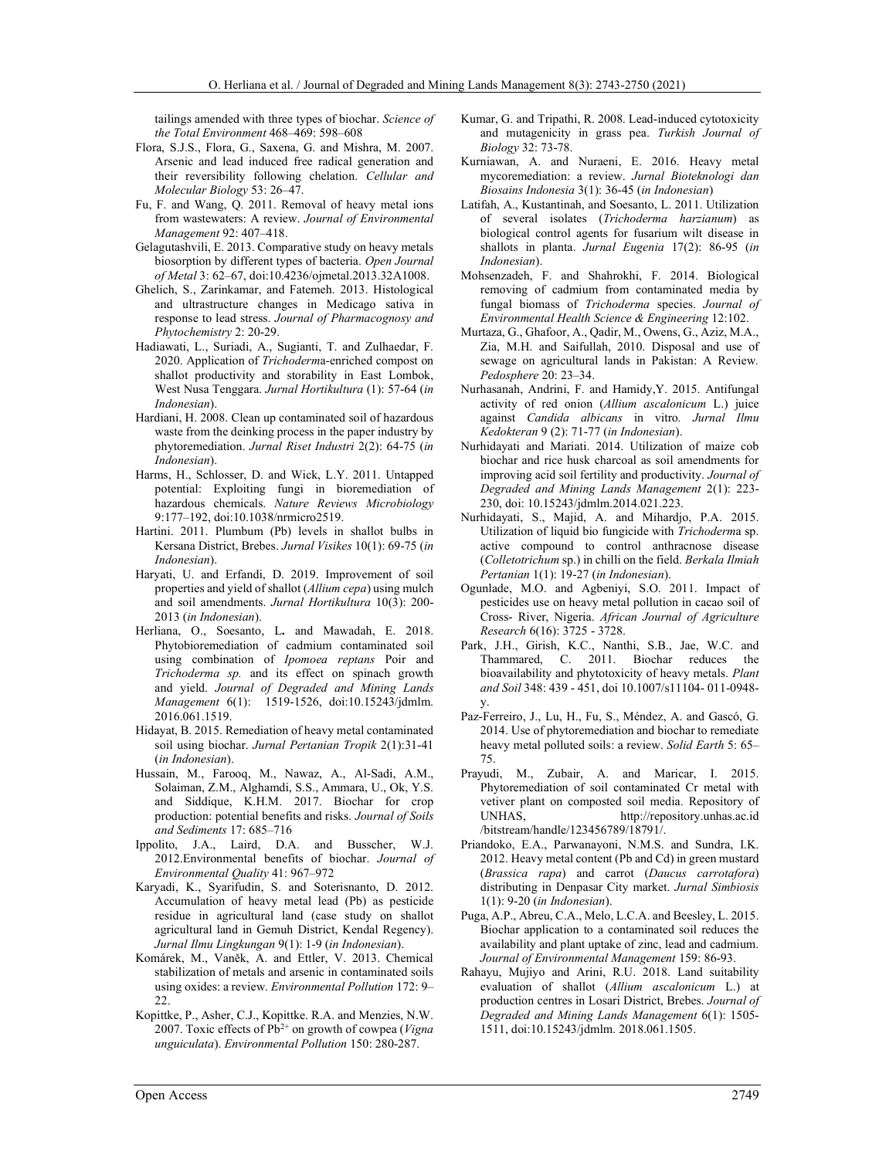tailings amended with three types of biochar. Science of the Total Environment 468–469: 598–608

- Flora, S.J.S., Flora, G., Saxena, G. and Mishra, M. 2007. Arsenic and lead induced free radical generation and their reversibility following chelation. Cellular and Molecular Biology 53: 26-47.
- Fu, F. and Wang, Q. 2011. Removal of heavy metal ions from wastewaters: A review. Journal of Environmental Management 92: 407–418.
- Gelagutashvili, E. 2013. Comparative study on heavy metals biosorption by different types of bacteria. Open Journal of Metal 3: 62–67, doi:10.4236/ojmetal.2013.32A1008.
- Ghelich, S., Zarinkamar, and Fatemeh. 2013. Histological and ultrastructure changes in Medicago sativa in response to lead stress. Journal of Pharmacognosy and Phytochemistry 2: 20-29.
- Hadiawati, L., Suriadi, A., Sugianti, T. and Zulhaedar, F. 2020. Application of Trichoderma-enriched compost on shallot productivity and storability in East Lombok, West Nusa Tenggara. Jurnal Hortikultura (1): 57-64 (in Indonesian).
- Hardiani, H. 2008. Clean up contaminated soil of hazardous waste from the deinking process in the paper industry by phytoremediation. Jurnal Riset Industri 2(2): 64-75 (in Indonesian).
- Harms, H., Schlosser, D. and Wick, L.Y. 2011. Untapped potential: Exploiting fungi in bioremediation of hazardous chemicals. Nature Reviews Microbiology 9:177–192, doi:10.1038/nrmicro2519.
- Hartini. 2011. Plumbum (Pb) levels in shallot bulbs in Kersana District, Brebes. Jurnal Visikes 10(1): 69-75 (in Indonesian).
- Haryati, U. and Erfandi, D. 2019. Improvement of soil properties and yield of shallot (Allium cepa) using mulch and soil amendments. Jurnal Hortikultura 10(3): 200- 2013 (in Indonesian).
- Herliana, O., Soesanto, L. and Mawadah, E. 2018. Phytobioremediation of cadmium contaminated soil using combination of Ipomoea reptans Poir and Trichoderma sp. and its effect on spinach growth and yield. Journal of Degraded and Mining Lands Management 6(1): 1519-1526, doi:10.15243/jdmlm. 2016.061.1519.
- Hidayat, B. 2015. Remediation of heavy metal contaminated soil using biochar. Jurnal Pertanian Tropik 2(1):31-41 (in Indonesian).
- Hussain, M., Farooq, M., Nawaz, A., Al-Sadi, A.M., Solaiman, Z.M., Alghamdi, S.S., Ammara, U., Ok, Y.S. and Siddique, K.H.M. 2017. Biochar for crop production: potential benefits and risks. Journal of Soils and Sediments 17: 685–716
- Ippolito, J.A., Laird, D.A. and Busscher, W.J. 2012.Environmental benefits of biochar. Journal of Environmental Quality 41: 967–972
- Karyadi, K., Syarifudin, S. and Soterisnanto, D. 2012. Accumulation of heavy metal lead (Pb) as pesticide residue in agricultural land (case study on shallot agricultural land in Gemuh District, Kendal Regency). Jurnal Ilmu Lingkungan 9(1): 1-9 (in Indonesian).
- Komárek, M., Vaněk, A. and Ettler, V. 2013. Chemical stabilization of metals and arsenic in contaminated soils using oxides: a review. Environmental Pollution 172: 9- $22.2$
- Kopittke, P., Asher, C.J., Kopittke. R.A. and Menzies, N.W. 2007. Toxic effects of  $Pb^{2+}$  on growth of cowpea (*Vigna* unguiculata). Environmental Pollution 150: 280-287.
- Kumar, G. and Tripathi, R. 2008. Lead-induced cytotoxicity and mutagenicity in grass pea. Turkish Journal of Biology 32: 73-78.
- Kurniawan, A. and Nuraeni, E. 2016. Heavy metal mycoremediation: a review. Jurnal Bioteknologi dan Biosains Indonesia 3(1): 36-45 (in Indonesian)
- Latifah, A., Kustantinah, and Soesanto, L. 2011. Utilization of several isolates (Trichoderma harzianum) as biological control agents for fusarium wilt disease in shallots in planta. Jurnal Eugenia 17(2): 86-95 (in Indonesian).
- Mohsenzadeh, F. and Shahrokhi, F. 2014. Biological removing of cadmium from contaminated media by fungal biomass of Trichoderma species. Journal of Environmental Health Science & Engineering 12:102.
- Murtaza, G., Ghafoor, A., Qadir, M., Owens, G., Aziz, M.A., Zia, M.H. and Saifullah, 2010. Disposal and use of sewage on agricultural lands in Pakistan: A Review. Pedosphere 20: 23‒34.
- Nurhasanah, Andrini, F. and Hamidy,Y. 2015. Antifungal activity of red onion (Allium ascalonicum L.) juice against Candida albicans in vitro. Jurnal Ilmu Kedokteran 9 (2): 71-77 (in Indonesian).
- Nurhidayati and Mariati. 2014. Utilization of maize cob biochar and rice husk charcoal as soil amendments for improving acid soil fertility and productivity. Journal of Degraded and Mining Lands Management 2(1): 223- 230, doi: 10.15243/jdmlm.2014.021.223.
- Nurhidayati, S., Majid, A. and Mihardjo, P.A. 2015. Utilization of liquid bio fungicide with Trichoderma sp. active compound to control anthracnose disease (Colletotrichum sp.) in chilli on the field. Berkala Ilmiah Pertanian 1(1): 19-27 (in Indonesian).
- Ogunlade, M.O. and Agbeniyi, S.O. 2011. Impact of pesticides use on heavy metal pollution in cacao soil of Cross- River, Nigeria. African Journal of Agriculture Research 6(16): 3725 - 3728.
- Park, J.H., Girish, K.C., Nanthi, S.B., Jae, W.C. and Thammared, C. 2011. Biochar reduces the bioavailability and phytotoxicity of heavy metals. Plant and Soil 348: 439 - 451, doi 10.1007/s11104- 011-0948 y.
- Paz-Ferreiro, J., Lu, H., Fu, S., Méndez, A. and Gascó, G. 2014. Use of phytoremediation and biochar to remediate heavy metal polluted soils: a review. Solid Earth 5: 65– 75.
- Prayudi, M., Zubair, A. and Maricar, I. 2015. Phytoremediation of soil contaminated Cr metal with vetiver plant on composted soil media. Repository of UNHAS, http://repository.unhas.ac.id /bitstream/handle/123456789/18791/.
- Priandoko, E.A., Parwanayoni, N.M.S. and Sundra, I.K. 2012. Heavy metal content (Pb and Cd) in green mustard (Brassica rapa) and carrot (Daucus carrotafora) distributing in Denpasar City market. Jurnal Simbiosis 1(1): 9-20 (in Indonesian).
- Puga, A.P., Abreu, C.A., Melo, L.C.A. and Beesley, L. 2015. Biochar application to a contaminated soil reduces the availability and plant uptake of zinc, lead and cadmium. Journal of Environmental Management 159: 86-93.
- Rahayu, Mujiyo and Arini, R.U. 2018. Land suitability evaluation of shallot (Allium ascalonicum L.) at production centres in Losari District, Brebes. Journal of Degraded and Mining Lands Management 6(1): 1505- 1511, doi:10.15243/jdmlm. 2018.061.1505.